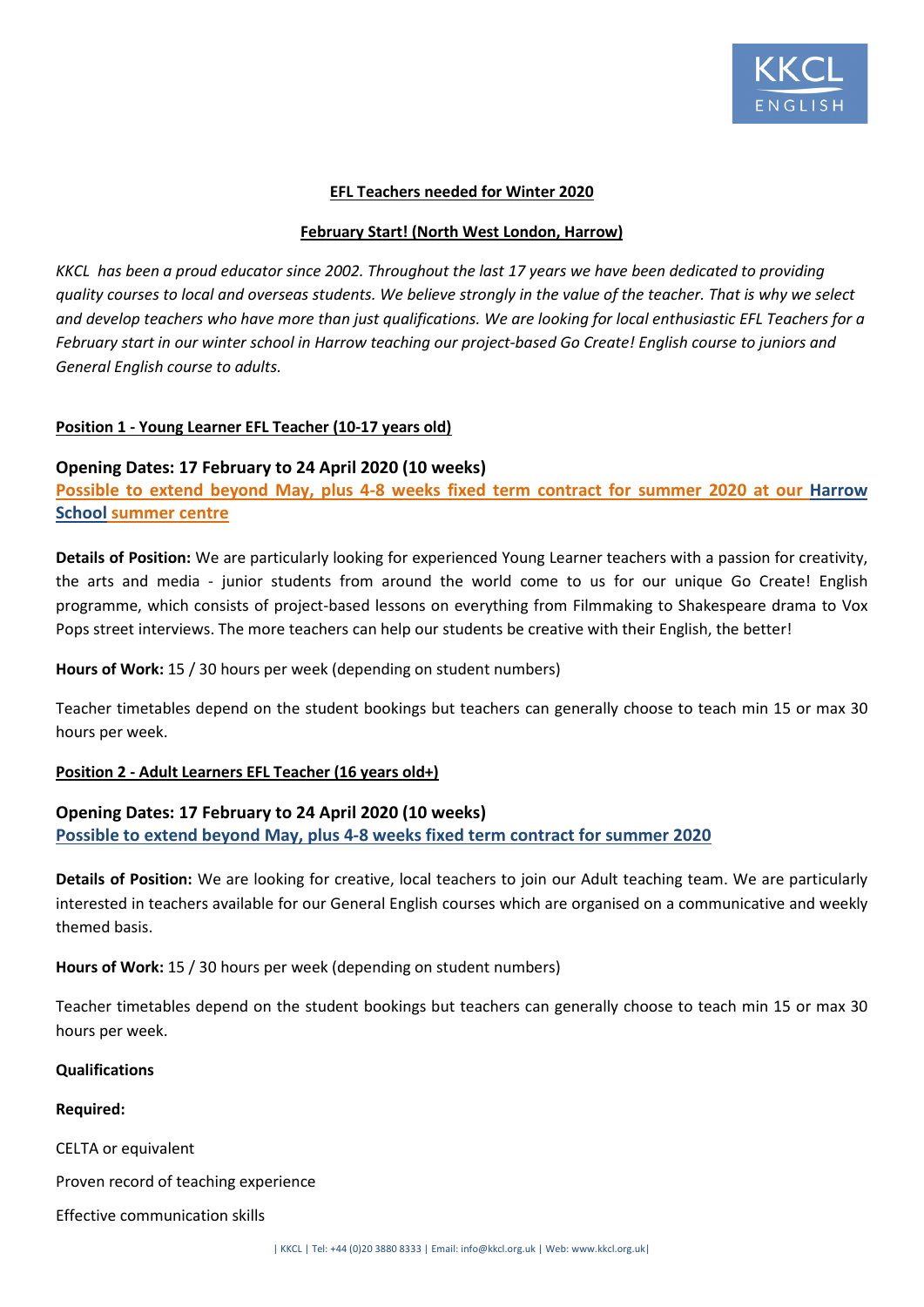

### **EFL Teachers needed for Winter 2020**

#### **February Start! (North West London, Harrow)**

*KKCL has been a proud educator since 2002. Throughout the last 17 years we have been dedicated to providing quality courses to local and overseas students. We believe strongly in the value of the teacher. That is why we select and develop teachers who have more than just qualifications. We are looking for local enthusiastic EFL Teachers for a February start in our winter school in Harrow teaching our project-based Go Create! English course to juniors and General English course to adults.* 

# **Position 1 - Young Learner EFL Teacher (10-17 years old)**

# **Opening Dates: 17 February to 24 April 2020 (10 weeks)**

**Possible to extend beyond May, plus 4-8 weeks fixed term contract for summer 2020 at our Harrow School summer centre** 

**Details of Position:** We are particularly looking for experienced Young Learner teachers with a passion for creativity, the arts and media - junior students from around the world come to us for our unique Go Create! English programme, which consists of project-based lessons on everything from Filmmaking to Shakespeare drama to Vox Pops street interviews. The more teachers can help our students be creative with their English, the better!

**Hours of Work:** 15 / 30 hours per week (depending on student numbers)

Teacher timetables depend on the student bookings but teachers can generally choose to teach min 15 or max 30 hours per week.

#### **Position 2 - Adult Learners EFL Teacher (16 years old+)**

# **Opening Dates: 17 February to 24 April 2020 (10 weeks) Possible to extend beyond May, plus 4-8 weeks fixed term contract for summer 2020**

**Details of Position:** We are looking for creative, local teachers to join our Adult teaching team. We are particularly interested in teachers available for our General English courses which are organised on a communicative and weekly themed basis.

**Hours of Work:** 15 / 30 hours per week (depending on student numbers)

Teacher timetables depend on the student bookings but teachers can generally choose to teach min 15 or max 30 hours per week.

#### **Qualifications**

**Required:**

CELTA or equivalent

Proven record of teaching experience

Effective communication skills